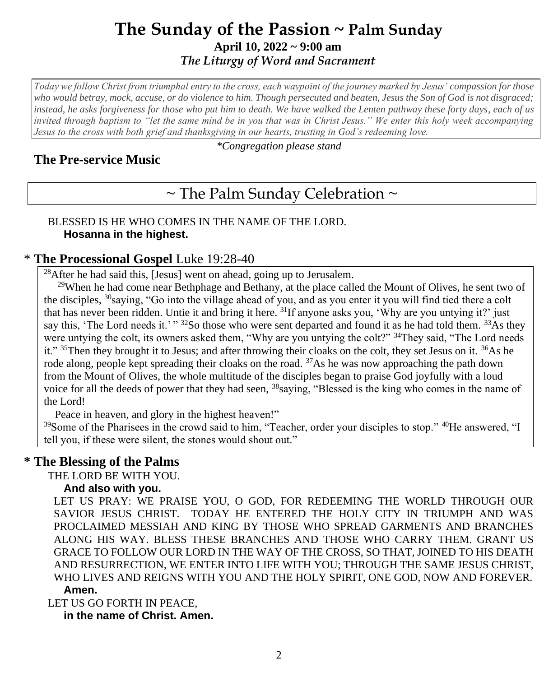# **The Sunday of the Passion ~ Palm Sunday April 10, 2022 ~ 9:00 am**  *The Liturgy of Word and Sacrament*

*Today we follow Christ from triumphal entry to the cross, each waypoint of the journey marked by Jesus' compassion for those who would betray, mock, accuse, or do violence to him. Though persecuted and beaten, Jesus the Son of God is not disgraced; instead, he asks forgiveness for those who put him to death. We have walked the Lenten pathway these forty days, each of us invited through baptism to "let the same mind be in you that was in Christ Jesus." We enter this holy week accompanying Jesus to the cross with both grief and thanksgiving in our hearts, trusting in God's redeeming love.*

## **The Pre-service Music**

*\*Congregation please stand*

# $\sim$  The Palm Sunday Celebration  $\sim$

#### BLESSED IS HE WHO COMES IN THE NAME OF THE LORD. **Hosanna in the highest.**

#### \* **The Processional Gospel** Luke 19:28-40

 $^{28}$ After he had said this, [Jesus] went on ahead, going up to Jerusalem.

<sup>29</sup>When he had come near Bethphage and Bethany, at the place called the Mount of Olives, he sent two of the disciples, <sup>30</sup>saying, "Go into the village ahead of you, and as you enter it you will find tied there a colt that has never been ridden. Untie it and bring it here. <sup>31</sup>If anyone asks you, 'Why are you untying it?' just say this, 'The Lord needs it.'" 32So those who were sent departed and found it as he had told them. 33As they were untying the colt, its owners asked them, "Why are you untying the colt?" <sup>34</sup>They said, "The Lord needs" it."  $35$ Then they brought it to Jesus; and after throwing their cloaks on the colt, they set Jesus on it.  $36$ As he rode along, people kept spreading their cloaks on the road.  $37\text{As}$  he was now approaching the path down from the Mount of Olives, the whole multitude of the disciples began to praise God joyfully with a loud voice for all the deeds of power that they had seen, <sup>38</sup>saying, "Blessed is the king who comes in the name of the Lord!

Peace in heaven, and glory in the highest heaven!"

<sup>39</sup>Some of the Pharisees in the crowd said to him, "Teacher, order your disciples to stop." <sup>40</sup>He answered, "I tell you, if these were silent, the stones would shout out."

### **\* The Blessing of the Palms**

THE LORD BE WITH YOU.

#### **And also with you.**

LET US PRAY: WE PRAISE YOU, O GOD, FOR REDEEMING THE WORLD THROUGH OUR SAVIOR JESUS CHRIST. TODAY HE ENTERED THE HOLY CITY IN TRIUMPH AND WAS PROCLAIMED MESSIAH AND KING BY THOSE WHO SPREAD GARMENTS AND BRANCHES ALONG HIS WAY. BLESS THESE BRANCHES AND THOSE WHO CARRY THEM. GRANT US GRACE TO FOLLOW OUR LORD IN THE WAY OF THE CROSS, SO THAT, JOINED TO HIS DEATH AND RESURRECTION, WE ENTER INTO LIFE WITH YOU; THROUGH THE SAME JESUS CHRIST, WHO LIVES AND REIGNS WITH YOU AND THE HOLY SPIRIT, ONE GOD, NOW AND FOREVER.

#### **Amen.**

LET US GO FORTH IN PEACE,

**in the name of Christ. Amen.**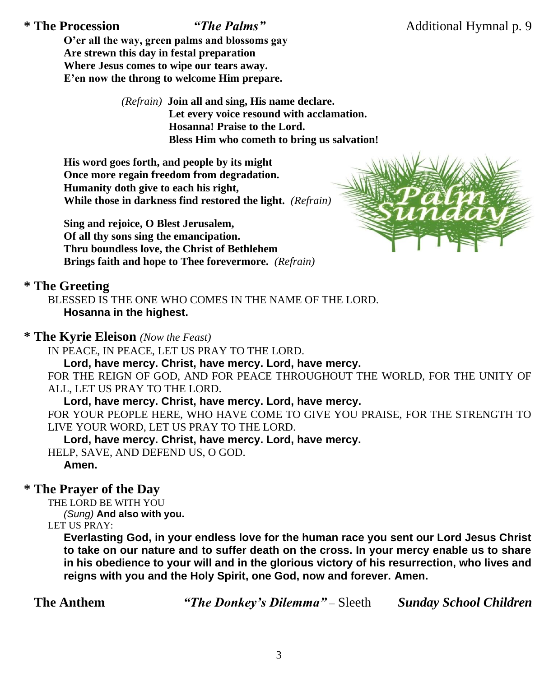**O'er all the way, green palms and blossoms gay Are strewn this day in festal preparation Where Jesus comes to wipe our tears away. E'en now the throng to welcome Him prepare.**

> *(Refrain)* **Join all and sing, His name declare. Let every voice resound with acclamation. Hosanna! Praise to the Lord. Bless Him who cometh to bring us salvation!**

**His word goes forth, and people by its might Once more regain freedom from degradation. Humanity doth give to each his right, While those in darkness find restored the light.** *(Refrain)*

**Sing and rejoice, O Blest Jerusalem, Of all thy sons sing the emancipation. Thru boundless love, the Christ of Bethlehem Brings faith and hope to Thee forevermore.** *(Refrain)*



#### **\* The Greeting**

BLESSED IS THE ONE WHO COMES IN THE NAME OF THE LORD. **Hosanna in the highest.**

#### **\* The Kyrie Eleison** *(Now the Feast)*

IN PEACE, IN PEACE, LET US PRAY TO THE LORD.

**Lord, have mercy. Christ, have mercy. Lord, have mercy.**

FOR THE REIGN OF GOD, AND FOR PEACE THROUGHOUT THE WORLD, FOR THE UNITY OF ALL, LET US PRAY TO THE LORD.

#### **Lord, have mercy. Christ, have mercy. Lord, have mercy.**

FOR YOUR PEOPLE HERE, WHO HAVE COME TO GIVE YOU PRAISE, FOR THE STRENGTH TO LIVE YOUR WORD, LET US PRAY TO THE LORD.

#### **Lord, have mercy. Christ, have mercy. Lord, have mercy.**

HELP, SAVE, AND DEFEND US, O GOD.

**Amen.**

# **\* The Prayer of the Day**

THE LORD BE WITH YOU *(Sung)* **And also with you.**

LET US PRAY:

**Everlasting God, in your endless love for the human race you sent our Lord Jesus Christ to take on our nature and to suffer death on the cross. In your mercy enable us to share in his obedience to your will and in the glorious victory of his resurrection, who lives and reigns with you and the Holy Spirit, one God, now and forever. Amen.**

**The Anthem** *"The Donkey's Dilemma"* – Sleeth *Sunday School Children*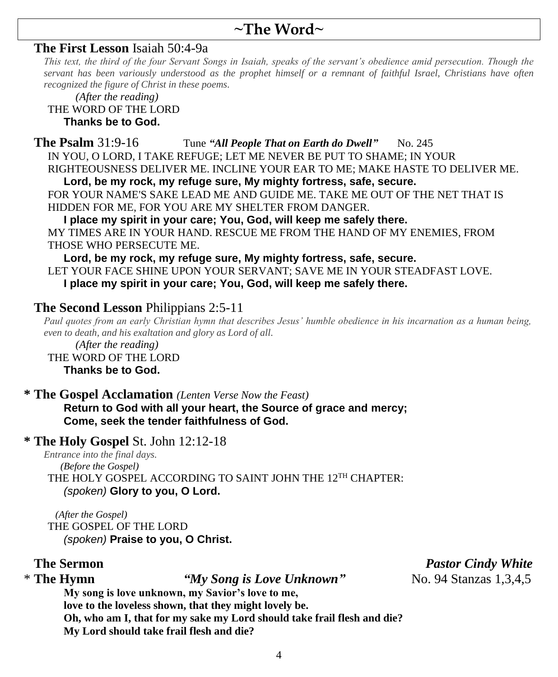# **~The Word~**

#### **The First Lesson** Isaiah 50:4-9a

*This text, the third of the four Servant Songs in Isaiah, speaks of the servant's obedience amid persecution. Though the servant has been variously understood as the prophet himself or a remnant of faithful Israel, Christians have often recognized the figure of Christ in these poems.*

 *(After the reading)*

#### THE WORD OF THE LORD **Thanks be to God.**

#### **The Psalm** 31:9-16 Tune "All People That on Earth do Dwell" No. 245

IN YOU, O LORD, I TAKE REFUGE; LET ME NEVER BE PUT TO SHAME; IN YOUR

RIGHTEOUSNESS DELIVER ME. INCLINE YOUR EAR TO ME; MAKE HASTE TO DELIVER ME.

**Lord, be my rock, my refuge sure, My mighty fortress, safe, secure.**

FOR YOUR NAME'S SAKE LEAD ME AND GUIDE ME. TAKE ME OUT OF THE NET THAT IS HIDDEN FOR ME, FOR YOU ARE MY SHELTER FROM DANGER.

**I place my spirit in your care; You, God, will keep me safely there.** MY TIMES ARE IN YOUR HAND. RESCUE ME FROM THE HAND OF MY ENEMIES, FROM THOSE WHO PERSECUTE ME.

**Lord, be my rock, my refuge sure, My mighty fortress, safe, secure.** LET YOUR FACE SHINE UPON YOUR SERVANT; SAVE ME IN YOUR STEADFAST LOVE. **I place my spirit in your care; You, God, will keep me safely there.**

### **The Second Lesson** Philippians 2:5-11

*Paul quotes from an early Christian hymn that describes Jesus' humble obedience in his incarnation as a human being, even to death, and his exaltation and glory as Lord of all.*

 *(After the reading)* THE WORD OF THE LORD **Thanks be to God.**

#### **\* The Gospel Acclamation** *(Lenten Verse Now the Feast)*

**Return to God with all your heart, the Source of grace and mercy; Come, seek the tender faithfulness of God.**

### **\* The Holy Gospel** St. John 12:12-18

*Entrance into the final days. (Before the Gospel)* THE HOLY GOSPEL ACCORDING TO SAINT JOHN THE 12<sup>TH</sup> CHAPTER: *(spoken)* **Glory to you, O Lord.**

 *(After the Gospel)* THE GOSPEL OF THE LORD *(spoken)* **Praise to you, O Christ.**

\* **The Hymn** *"My Song is Love Unknown"* No. 94 Stanzas 1,3,4,5

**My song is love unknown, my Savior's love to me,**

**love to the loveless shown, that they might lovely be.**

**Oh, who am I, that for my sake my Lord should take frail flesh and die? My Lord should take frail flesh and die?**

**The Sermon** *Pastor Cindy White*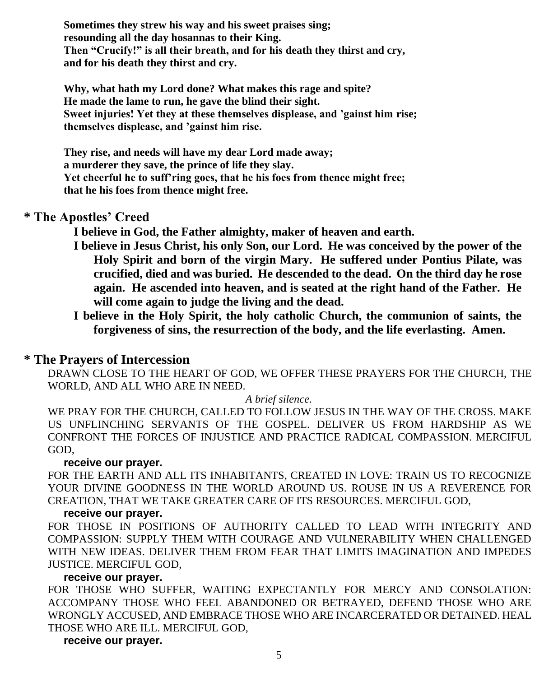**Sometimes they strew his way and his sweet praises sing; resounding all the day hosannas to their King. Then "Crucify!" is all their breath, and for his death they thirst and cry, and for his death they thirst and cry.**

**Why, what hath my Lord done? What makes this rage and spite? He made the lame to run, he gave the blind their sight. Sweet injuries! Yet they at these themselves displease, and 'gainst him rise; themselves displease, and 'gainst him rise.**

**They rise, and needs will have my dear Lord made away; a murderer they save, the prince of life they slay. Yet cheerful he to suff'ring goes, that he his foes from thence might free; that he his foes from thence might free.**

#### **\* The Apostles' Creed**

**I believe in God, the Father almighty, maker of heaven and earth.**

- **I believe in Jesus Christ, his only Son, our Lord. He was conceived by the power of the Holy Spirit and born of the virgin Mary. He suffered under Pontius Pilate, was crucified, died and was buried. He descended to the dead. On the third day he rose again. He ascended into heaven, and is seated at the right hand of the Father. He will come again to judge the living and the dead.**
- **I believe in the Holy Spirit, the holy catholic Church, the communion of saints, the forgiveness of sins, the resurrection of the body, and the life everlasting. Amen.**

#### **\* The Prayers of Intercession**

DRAWN CLOSE TO THE HEART OF GOD, WE OFFER THESE PRAYERS FOR THE CHURCH, THE WORLD, AND ALL WHO ARE IN NEED.

#### *A brief silence.*

WE PRAY FOR THE CHURCH, CALLED TO FOLLOW JESUS IN THE WAY OF THE CROSS. MAKE US UNFLINCHING SERVANTS OF THE GOSPEL. DELIVER US FROM HARDSHIP AS WE CONFRONT THE FORCES OF INJUSTICE AND PRACTICE RADICAL COMPASSION. MERCIFUL GOD,

#### **receive our prayer.**

FOR THE EARTH AND ALL ITS INHABITANTS, CREATED IN LOVE: TRAIN US TO RECOGNIZE YOUR DIVINE GOODNESS IN THE WORLD AROUND US. ROUSE IN US A REVERENCE FOR CREATION, THAT WE TAKE GREATER CARE OF ITS RESOURCES. MERCIFUL GOD,

#### **receive our prayer.**

FOR THOSE IN POSITIONS OF AUTHORITY CALLED TO LEAD WITH INTEGRITY AND COMPASSION: SUPPLY THEM WITH COURAGE AND VULNERABILITY WHEN CHALLENGED WITH NEW IDEAS. DELIVER THEM FROM FEAR THAT LIMITS IMAGINATION AND IMPEDES JUSTICE. MERCIFUL GOD,

#### **receive our prayer.**

FOR THOSE WHO SUFFER, WAITING EXPECTANTLY FOR MERCY AND CONSOLATION: ACCOMPANY THOSE WHO FEEL ABANDONED OR BETRAYED, DEFEND THOSE WHO ARE WRONGLY ACCUSED, AND EMBRACE THOSE WHO ARE INCARCERATED OR DETAINED. HEAL THOSE WHO ARE ILL. MERCIFUL GOD,

#### **receive our prayer.**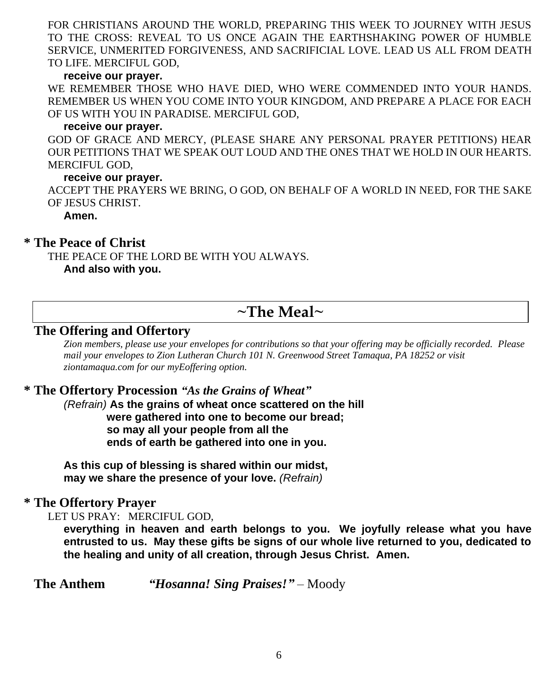FOR CHRISTIANS AROUND THE WORLD, PREPARING THIS WEEK TO JOURNEY WITH JESUS TO THE CROSS: REVEAL TO US ONCE AGAIN THE EARTHSHAKING POWER OF HUMBLE SERVICE, UNMERITED FORGIVENESS, AND SACRIFICIAL LOVE. LEAD US ALL FROM DEATH TO LIFE. MERCIFUL GOD,

#### **receive our prayer.**

WE REMEMBER THOSE WHO HAVE DIED, WHO WERE COMMENDED INTO YOUR HANDS. REMEMBER US WHEN YOU COME INTO YOUR KINGDOM, AND PREPARE A PLACE FOR EACH OF US WITH YOU IN PARADISE. MERCIFUL GOD,

#### **receive our prayer.**

GOD OF GRACE AND MERCY, (PLEASE SHARE ANY PERSONAL PRAYER PETITIONS) HEAR OUR PETITIONS THAT WE SPEAK OUT LOUD AND THE ONES THAT WE HOLD IN OUR HEARTS. MERCIFUL GOD,

#### **receive our prayer.**

ACCEPT THE PRAYERS WE BRING, O GOD, ON BEHALF OF A WORLD IN NEED, FOR THE SAKE OF JESUS CHRIST.

**Amen.**

#### **\* The Peace of Christ**

THE PEACE OF THE LORD BE WITH YOU ALWAYS. **And also with you.**

# **~The Meal~**

### **The Offering and Offertory**

*Zion members, please use your envelopes for contributions so that your offering may be officially recorded. Please mail your envelopes to Zion Lutheran Church 101 N. Greenwood Street Tamaqua, PA 18252 or visit ziontamaqua.com for our myEoffering option.*

#### **\* The Offertory Procession** *"As the Grains of Wheat"*

*(Refrain)* **As the grains of wheat once scattered on the hill were gathered into one to become our bread; so may all your people from all the**  **ends of earth be gathered into one in you.**

**As this cup of blessing is shared within our midst, may we share the presence of your love.** *(Refrain)*

#### **\* The Offertory Prayer**

LET US PRAY: MERCIFUL GOD,

**everything in heaven and earth belongs to you. We joyfully release what you have entrusted to us. May these gifts be signs of our whole live returned to you, dedicated to the healing and unity of all creation, through Jesus Christ. Amen.**

**The Anthem** *"Hosanna! Sing Praises!"* – Moody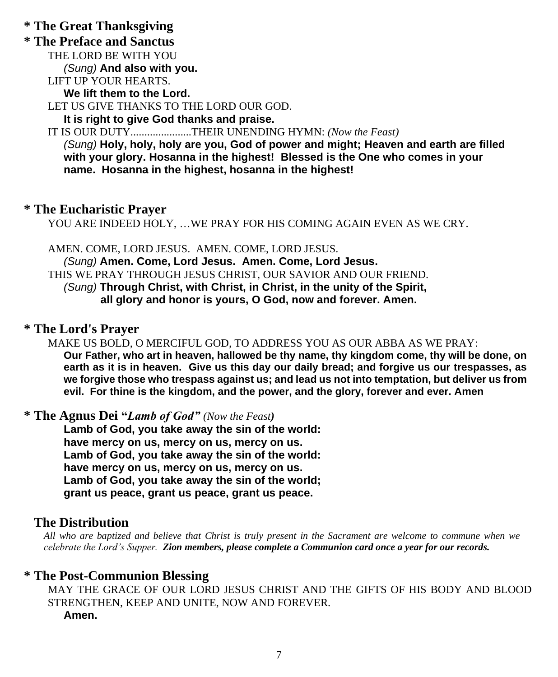# **\* The Great Thanksgiving**

## **\* The Preface and Sanctus**

THE LORD BE WITH YOU

*(Sung)* **And also with you.**

LIFT UP YOUR HEARTS. **We lift them to the Lord.**

LET US GIVE THANKS TO THE LORD OUR GOD.

**It is right to give God thanks and praise.**

IT IS OUR DUTY......................THEIR UNENDING HYMN: *(Now the Feast) (Sung)* **Holy, holy, holy are you, God of power and might; Heaven and earth are filled** 

**with your glory. Hosanna in the highest! Blessed is the One who comes in your name. Hosanna in the highest, hosanna in the highest!**

#### **\* The Eucharistic Prayer**

YOU ARE INDEED HOLY, …WE PRAY FOR HIS COMING AGAIN EVEN AS WE CRY.

AMEN. COME, LORD JESUS. AMEN. COME, LORD JESUS.

*(Sung)* **Amen. Come, Lord Jesus. Amen. Come, Lord Jesus.** THIS WE PRAY THROUGH JESUS CHRIST, OUR SAVIOR AND OUR FRIEND. *(Sung)* **Through Christ, with Christ, in Christ, in the unity of the Spirit,** **all glory and honor is yours, O God, now and forever. Amen.**

#### **\* The Lord's Prayer**

MAKE US BOLD, O MERCIFUL GOD, TO ADDRESS YOU AS OUR ABBA AS WE PRAY:

**Our Father, who art in heaven, hallowed be thy name, thy kingdom come, thy will be done, on earth as it is in heaven. Give us this day our daily bread; and forgive us our trespasses, as we forgive those who trespass against us; and lead us not into temptation, but deliver us from evil. For thine is the kingdom, and the power, and the glory, forever and ever. Amen**

**\* The Agnus Dei "***Lamb of God" (Now the Feast)*

**Lamb of God, you take away the sin of the world: have mercy on us, mercy on us, mercy on us. Lamb of God, you take away the sin of the world: have mercy on us, mercy on us, mercy on us. Lamb of God, you take away the sin of the world; grant us peace, grant us peace, grant us peace.**

#### **The Distribution**

*All who are baptized and believe that Christ is truly present in the Sacrament are welcome to commune when we celebrate the Lord's Supper. Zion members, please complete a Communion card once a year for our records.*

#### **\* The Post-Communion Blessing**

MAY THE GRACE OF OUR LORD JESUS CHRIST AND THE GIFTS OF HIS BODY AND BLOOD STRENGTHEN, KEEP AND UNITE, NOW AND FOREVER. **Amen.**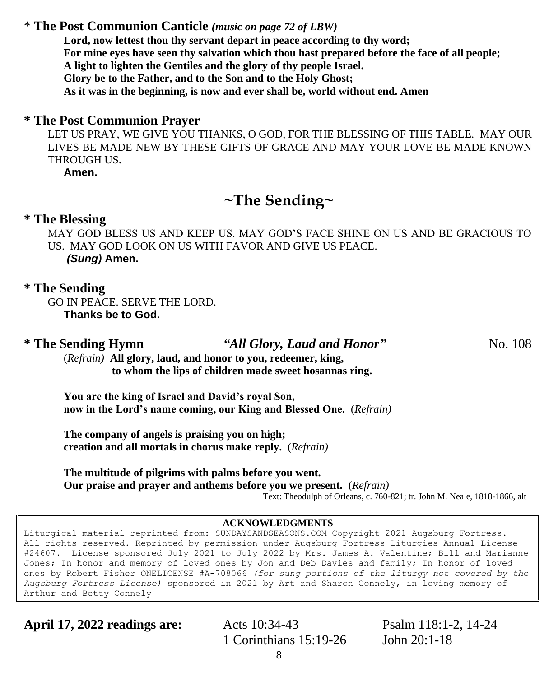#### \* **The Post Communion Canticle** *(music on page 72 of LBW)*

**Lord, now lettest thou thy servant depart in peace according to thy word; For mine eyes have seen thy salvation which thou hast prepared before the face of all people; A light to lighten the Gentiles and the glory of thy people Israel. Glory be to the Father, and to the Son and to the Holy Ghost; As it was in the beginning, is now and ever shall be, world without end. Amen**

#### **\* The Post Communion Prayer**

LET US PRAY, WE GIVE YOU THANKS, O GOD, FOR THE BLESSING OF THIS TABLE. MAY OUR LIVES BE MADE NEW BY THESE GIFTS OF GRACE AND MAY YOUR LOVE BE MADE KNOWN THROUGH US.

**Amen.**

# **~The Sending~**

#### **\* The Blessing**

MAY GOD BLESS US AND KEEP US. MAY GOD'S FACE SHINE ON US AND BE GRACIOUS TO US. MAY GOD LOOK ON US WITH FAVOR AND GIVE US PEACE. *(Sung)* **Amen.**

#### **\* The Sending**

GO IN PEACE. SERVE THE LORD. **Thanks be to God.**

**\* The Sending Hymn** *"All Glory, Laud and Honor"* No. 108

(*Refrain)* **All glory, laud, and honor to you, redeemer, king, to whom the lips of children made sweet hosannas ring.**

**You are the king of Israel and David's royal Son, now in the Lord's name coming, our King and Blessed One.** (*Refrain)*

**The company of angels is praising you on high; creation and all mortals in chorus make reply.** (*Refrain)*

**The multitude of pilgrims with palms before you went. Our praise and prayer and anthems before you we present.** (*Refrain)*

Text: Theodulph of Orleans, c. 760-821; tr. John M. Neale, 1818-1866, alt

#### **ACKNOWLEDGMENTS**

Liturgical material reprinted from: SUNDAYSANDSEASONS.COM Copyright 2021 Augsburg Fortress. All rights reserved. Reprinted by permission under Augsburg Fortress Liturgies Annual License #24607. License sponsored July 2021 to July 2022 by Mrs. James A. Valentine; Bill and Marianne Jones; In honor and memory of loved ones by Jon and Deb Davies and family; In honor of loved ones by Robert Fisher ONELICENSE #A-708066 *(for sung portions of the liturgy not covered by the Augsburg Fortress License)* sponsored in 2021 by Art and Sharon Connely, in loving memory of Arthur and Betty Connely

**April 17, 2022 readings are:** Acts 10:34-43 Psalm 118:1-2, 14-24

1 Corinthians 15:19-26 John 20:1-18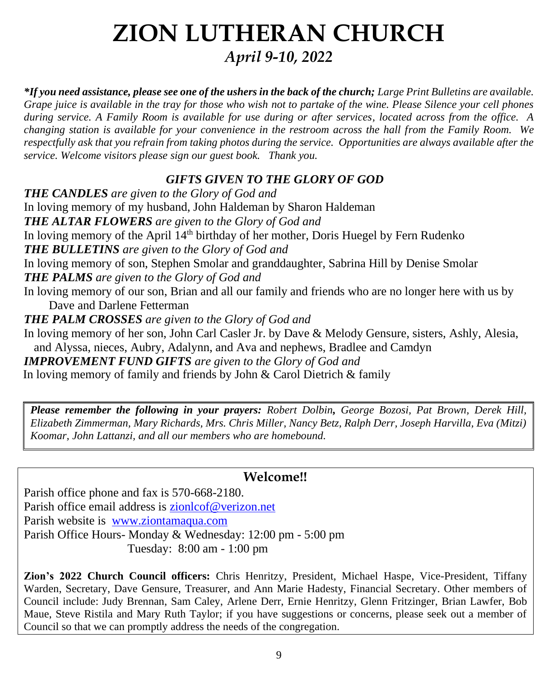# **ZION LUTHERAN CHURCH** *April 9-10, 2022*

*\*If you need assistance, please see one of the ushers in the back of the church; Large Print Bulletins are available. Grape juice is available in the tray for those who wish not to partake of the wine. Please Silence your cell phones during service. A Family Room is available for use during or after services, located across from the office. A changing station is available for your convenience in the restroom across the hall from the Family Room. We respectfully ask that you refrain from taking photos during the service. Opportunities are always available after the service. Welcome visitors please sign our guest book. Thank you.*

## *GIFTS GIVEN TO THE GLORY OF GOD*

*THE CANDLES are given to the Glory of God and* In loving memory of my husband, John Haldeman by Sharon Haldeman *THE ALTAR FLOWERS are given to the Glory of God and* In loving memory of the April  $14<sup>th</sup>$  birthday of her mother, Doris Huegel by Fern Rudenko *THE BULLETINS are given to the Glory of God and* In loving memory of son, Stephen Smolar and granddaughter, Sabrina Hill by Denise Smolar *THE PALMS are given to the Glory of God and* In loving memory of our son, Brian and all our family and friends who are no longer here with us by Dave and Darlene Fetterman *THE PALM CROSSES are given to the Glory of God and* In loving memory of her son, John Carl Casler Jr. by Dave & Melody Gensure, sisters, Ashly, Alesia,

and Alyssa, nieces, Aubry, Adalynn, and Ava and nephews, Bradlee and Camdyn *IMPROVEMENT FUND GIFTS are given to the Glory of God and* In loving memory of family and friends by John & Carol Dietrich & family

*Please remember the following in your prayers: Robert Dolbin, George Bozosi, Pat Brown, Derek Hill, Elizabeth Zimmerman, Mary Richards, Mrs. Chris Miller, Nancy Betz, Ralph Derr, Joseph Harvilla, Eva (Mitzi) Koomar, John Lattanzi, and all our members who are homebound.*

# **Welcome!!**

Parish office phone and fax is 570-668-2180. Parish office email address is [zionlcof@verizon.net](mailto:zionlcof@verizon.net) Parish website is [www.ziontamaqua.com](http://www.ziontamaqua.com/) Parish Office Hours- Monday & Wednesday: 12:00 pm - 5:00 pm Tuesday: 8:00 am - 1:00 pm

**Zion's 2022 Church Council officers:** Chris Henritzy, President, Michael Haspe, Vice-President, Tiffany Warden, Secretary, Dave Gensure, Treasurer, and Ann Marie Hadesty, Financial Secretary. Other members of Council include: Judy Brennan, Sam Caley, Arlene Derr, Ernie Henritzy, Glenn Fritzinger, Brian Lawfer, Bob Maue, Steve Ristila and Mary Ruth Taylor; if you have suggestions or concerns, please seek out a member of Council so that we can promptly address the needs of the congregation.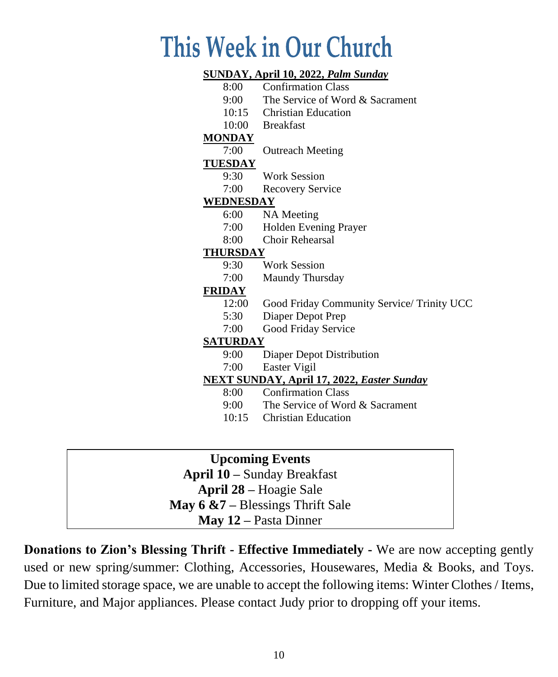# This Week in Our Church

#### **SUNDAY, April 10, 2022,** *Palm Sunday*

- 8:00 Confirmation Class
- 9:00 The Service of Word & Sacrament
- 10:15 Christian Education
- 10:00 Breakfast

#### **MONDAY**

7:00 Outreach Meeting

#### **TUESDAY**

- 9:30 Work Session
- 7:00 Recovery Service

#### **WEDNESDAY**

- 6:00 NA Meeting
- 7:00 Holden Evening Prayer
- 8:00 Choir Rehearsal

#### **THURSDAY**

- 9:30 Work Session
- 7:00 Maundy Thursday

#### **FRIDAY**

- 12:00 Good Friday Community Service/ Trinity UCC
- 5:30 Diaper Depot Prep
- 7:00 Good Friday Service

#### **SATURDAY**

- 9:00 Diaper Depot Distribution
- 7:00 Easter Vigil

#### **NEXT SUNDAY, April 17, 2022,** *Easter Sunday*

- 8:00 Confirmation Class
- 9:00 The Service of Word & Sacrament
- 10:15 Christian Education

# **Upcoming Events**

**April 10 –** Sunday Breakfast **April 28 –** Hoagie Sale

### **May 6 &7 –** Blessings Thrift Sale

**May 12 –** Pasta Dinner

**Donations to Zion's Blessing Thrift - Effective Immediately -** We are now accepting gently used or new spring/summer: Clothing, Accessories, Housewares, Media & Books, and Toys. Due to limited storage space, we are unable to accept the following items: Winter Clothes / Items, Furniture, and Major appliances. Please contact Judy prior to dropping off your items.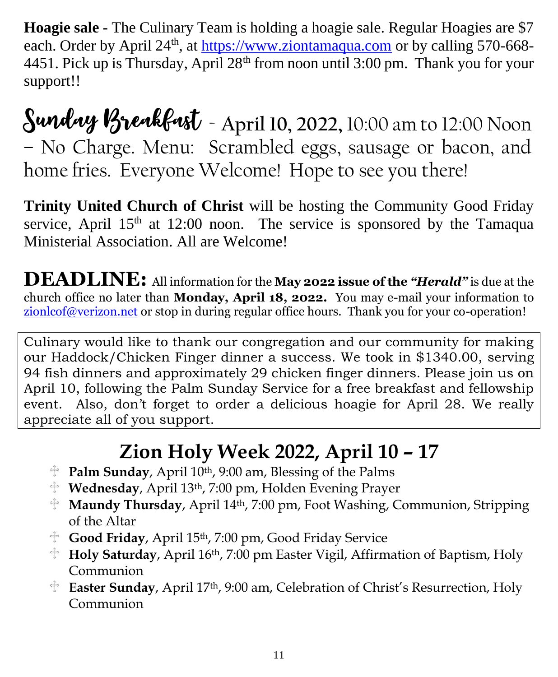**Hoagie sale -** The Culinary Team is holding a hoagie sale. Regular Hoagies are \$7 each. Order by April 24<sup>th</sup>, at [https://www.ziontamaqua.com](https://www.ziontamaqua.com/) or by calling 570-668-4451. Pick up is Thursday, April 28<sup>th</sup> from noon until 3:00 pm. Thank you for your support!!

Sunday Breakfast - **April 10, 2022,** 10:00 am to 12:00 Noon – No Charge. Menu: Scrambled eggs, sausage or bacon, and home fries. Everyone Welcome! Hope to see you there!

**Trinity United Church of Christ** will be hosting the Community Good Friday service, April  $15<sup>th</sup>$  at 12:00 noon. The service is sponsored by the Tamaqua Ministerial Association. All are Welcome!

**DEADLINE:** All information for the **May 2022 issue of the** *"Herald"* is due at the church office no later than **Monday, April 18, 2022.** You may e-mail your information to zionlcof@verizon.net or stop in during regular office hours. Thank you for your co-operation!

Culinary would like to thank our congregation and our community for making our Haddock/Chicken Finger dinner a success. We took in \$1340.00, serving 94 fish dinners and approximately 29 chicken finger dinners. Please join us on April 10, following the Palm Sunday Service for a free breakfast and fellowship event. Also, don't forget to order a delicious hoagie for April 28. We really appreciate all of you support.

# **Zion Holy Week 2022, April 10 – 17**

- **Palm Sunday**, April 10th, 9:00 am, Blessing of the Palms
- **Wednesday**, April 13th, 7:00 pm, Holden Evening Prayer
- **Maundy Thursday**, April 14th, 7:00 pm, Foot Washing, Communion, Stripping of the Altar
- **Good Friday**, April 15th, 7:00 pm, Good Friday Service
- **Holy Saturday**, April 16th, 7:00 pm Easter Vigil, Affirmation of Baptism, Holy Communion
- **Easter Sunday**, April 17th, 9:00 am, Celebration of Christ's Resurrection, Holy Communion